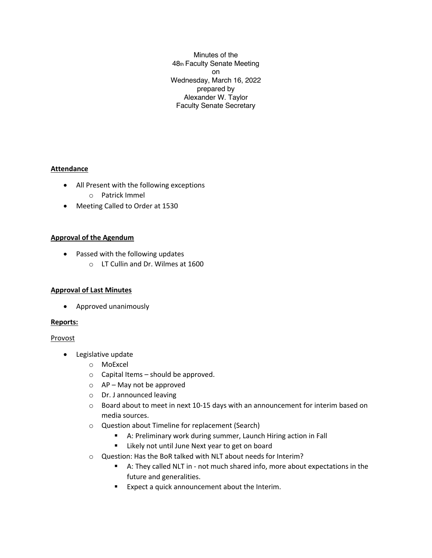Minutes of the 48th Faculty Senate Meeting on Wednesday, March 16, 2022 prepared by Alexander W. Taylor Faculty Senate Secretary

# **Attendance**

- All Present with the following exceptions o Patrick Immel
- Meeting Called to Order at 1530

# **Approval of the Agendum**

- Passed with the following updates
	- o LT Cullin and Dr. Wilmes at 1600

# **Approval of Last Minutes**

• Approved unanimously

# **Reports:**

# Provost

- Legislative update
	- o MoExcel
	- o Capital Items should be approved.
	- $\circ$  AP May not be approved
	- o Dr. J announced leaving
	- $\circ$  Board about to meet in next 10-15 days with an announcement for interim based on media sources.
	- o Question about Timeline for replacement (Search)
		- A: Preliminary work during summer, Launch Hiring action in Fall
		- Likely not until June Next year to get on board
	- o Question: Has the BoR talked with NLT about needs for Interim?
		- § A: They called NLT in not much shared info, more about expectations in the future and generalities.
		- Expect a quick announcement about the Interim.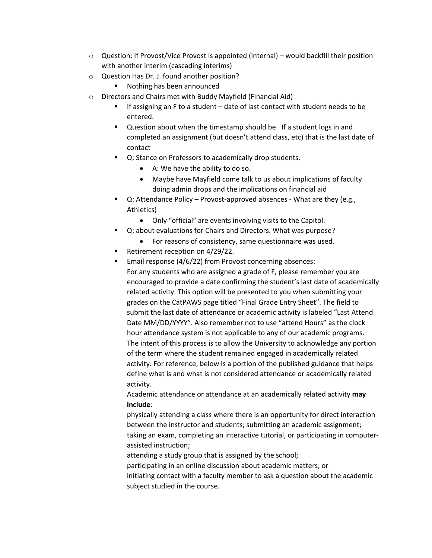- $\circ$  Question: If Provost/Vice Provost is appointed (internal) would backfill their position with another interim (cascading interims)
- o Question Has Dr. J. found another position?
	- Nothing has been announced
- o Directors and Chairs met with Buddy Mayfield (Financial Aid)
	- If assigning an F to a student date of last contact with student needs to be entered.
	- Question about when the timestamp should be. If a student logs in and completed an assignment (but doesn't attend class, etc) that is the last date of contact
	- Q: Stance on Professors to academically drop students.
		- A: We have the ability to do so.
		- Maybe have Mayfield come talk to us about implications of faculty doing admin drops and the implications on financial aid
	- § Q: Attendance Policy Provost-approved absences What are they (e.g., Athletics)
		- Only "official" are events involving visits to the Capitol.
	- Q: about evaluations for Chairs and Directors. What was purpose?
		- For reasons of consistency, same questionnaire was used.
	- § Retirement reception on 4/29/22.
	- Email response (4/6/22) from Provost concerning absences: For any students who are assigned a grade of F, please remember you are encouraged to provide a date confirming the student's last date of academically related activity. This option will be presented to you when submitting your grades on the CatPAWS page titled "Final Grade Entry Sheet". The field to submit the last date of attendance or academic activity is labeled "Last Attend Date MM/DD/YYYY". Also remember not to use "attend Hours" as the clock hour attendance system is not applicable to any of our academic programs. The intent of this process is to allow the University to acknowledge any portion of the term where the student remained engaged in academically related activity. For reference, below is a portion of the published guidance that helps define what is and what is not considered attendance or academically related activity.

Academic attendance or attendance at an academically related activity **may include**:

physically attending a class where there is an opportunity for direct interaction between the instructor and students; submitting an academic assignment; taking an exam, completing an interactive tutorial, or participating in computerassisted instruction;

attending a study group that is assigned by the school; participating in an online discussion about academic matters; or initiating contact with a faculty member to ask a question about the academic subject studied in the course.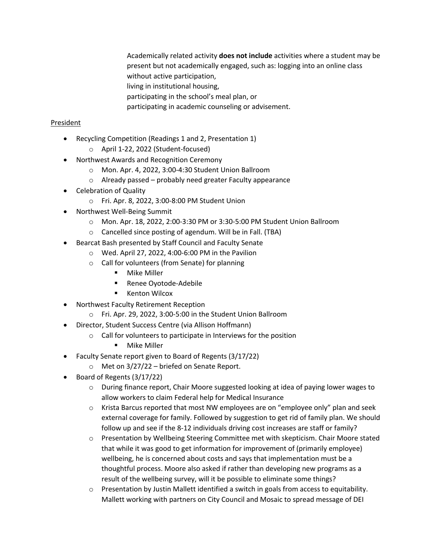Academically related activity **does not include** activities where a student may be present but not academically engaged, such as: logging into an online class without active participation,

living in institutional housing,

participating in the school's meal plan, or

participating in academic counseling or advisement.

#### President

- Recycling Competition (Readings 1 and 2, Presentation 1)
	- o April 1-22, 2022 (Student-focused)
- Northwest Awards and Recognition Ceremony
	- o Mon. Apr. 4, 2022, 3:00-4:30 Student Union Ballroom
	- o Already passed probably need greater Faculty appearance
- Celebration of Quality
	- o Fri. Apr. 8, 2022, 3:00-8:00 PM Student Union
- Northwest Well-Being Summit
	- o Mon. Apr. 18, 2022, 2:00-3:30 PM or 3:30-5:00 PM Student Union Ballroom
	- o Cancelled since posting of agendum. Will be in Fall. (TBA)
- Bearcat Bash presented by Staff Council and Faculty Senate
	- o Wed. April 27, 2022, 4:00-6:00 PM in the Pavilion
		- o Call for volunteers (from Senate) for planning
			- Mike Miller
			- Renee Oyotode-Adebile
			- Kenton Wilcox
- Northwest Faculty Retirement Reception
	- o Fri. Apr. 29, 2022, 3:00-5:00 in the Student Union Ballroom
- Director, Student Success Centre (via Allison Hoffmann)
	- o Call for volunteers to participate in Interviews for the position
		- Mike Miller
- Faculty Senate report given to Board of Regents (3/17/22)
	- o Met on 3/27/22 briefed on Senate Report.
- Board of Regents (3/17/22)
	- $\circ$  During finance report, Chair Moore suggested looking at idea of paying lower wages to allow workers to claim Federal help for Medical Insurance
	- $\circ$  Krista Barcus reported that most NW employees are on "employee only" plan and seek external coverage for family. Followed by suggestion to get rid of family plan. We should follow up and see if the 8-12 individuals driving cost increases are staff or family?
	- o Presentation by Wellbeing Steering Committee met with skepticism. Chair Moore stated that while it was good to get information for improvement of (primarily employee) wellbeing, he is concerned about costs and says that implementation must be a thoughtful process. Moore also asked if rather than developing new programs as a result of the wellbeing survey, will it be possible to eliminate some things?
	- $\circ$  Presentation by Justin Mallett identified a switch in goals from access to equitability. Mallett working with partners on City Council and Mosaic to spread message of DEI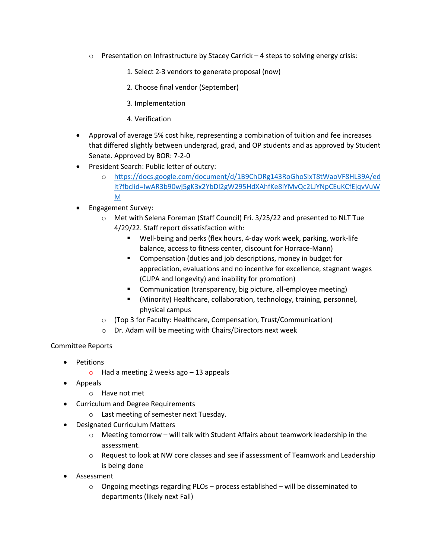- $\circ$  Presentation on Infrastructure by Stacey Carrick 4 steps to solving energy crisis:
	- 1. Select 2-3 vendors to generate proposal (now)
	- 2. Choose final vendor (September)
	- 3. Implementation
	- 4. Verification
- Approval of average 5% cost hike, representing a combination of tuition and fee increases that differed slightly between undergrad, grad, and OP students and as approved by Student Senate. Approved by BOR: 7-2-0
- President Search: Public letter of outcry:
	- o https://docs.google.com/document/d/1B9ChORg143RoGhoSIxT8tWaoVF8HL39A/ed it?fbclid=IwAR3b90wj5gK3x2YbDl2gW295HdXAhfKe8lYMvQc2LJYNpCEuKCfEjqvVuW M
- Engagement Survey:
	- o Met with Selena Foreman (Staff Council) Fri. 3/25/22 and presented to NLT Tue 4/29/22. Staff report dissatisfaction with:
		- Well-being and perks (flex hours, 4-day work week, parking, work-life balance, access to fitness center, discount for Horrace-Mann)
		- Compensation (duties and job descriptions, money in budget for appreciation, evaluations and no incentive for excellence, stagnant wages (CUPA and longevity) and inability for promotion)
		- Communication (transparency, big picture, all-employee meeting)
		- § (Minority) Healthcare, collaboration, technology, training, personnel, physical campus
	- o (Top 3 for Faculty: Healthcare, Compensation, Trust/Communication)
	- o Dr. Adam will be meeting with Chairs/Directors next week

# Committee Reports

- Petitions
	- $\theta$  Had a meeting 2 weeks ago 13 appeals
- Appeals
	- o Have not met
- Curriculum and Degree Requirements
	- o Last meeting of semester next Tuesday.
- Designated Curriculum Matters
	- $\circ$  Meeting tomorrow will talk with Student Affairs about teamwork leadership in the assessment.
	- o Request to look at NW core classes and see if assessment of Teamwork and Leadership is being done
- **Assessment** 
	- $\circ$  Ongoing meetings regarding PLOs process established will be disseminated to departments (likely next Fall)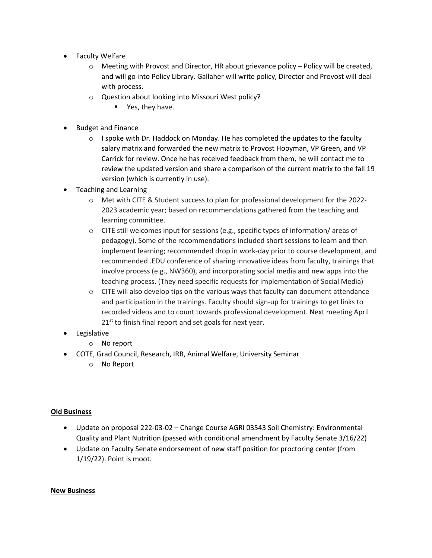- Faculty Welfare
	- o Meeting with Provost and Director, HR about grievance policy Policy will be created, and will go into Policy Library. Gallaher will write policy, Director and Provost will deal with process.
	- o Question about looking into Missouri West policy?
		- Yes, they have.
- Budget and Finance
	- $\circ$  I spoke with Dr. Haddock on Monday. He has completed the updates to the faculty salary matrix and forwarded the new matrix to Provost Hooyman, VP Green, and VP Carrick for review. Once he has received feedback from them, he will contact me to review the updated version and share a comparison of the current matrix to the fall 19 version (which is currently in use).
- Teaching and Learning
	- o Met with CITE & Student success to plan for professional development for the 2022- 2023 academic year; based on recommendations gathered from the teaching and learning committee.
	- o CITE still welcomes input for sessions (e.g., specific types of information/ areas of pedagogy). Some of the recommendations included short sessions to learn and then implement learning; recommended drop in work-day prior to course development, and recommended .EDU conference of sharing innovative ideas from faculty, trainings that involve process (e.g., NW360), and incorporating social media and new apps into the teaching process. (They need specific requests for implementation of Social Media)
	- $\circ$  CITE will also develop tips on the various ways that faculty can document attendance and participation in the trainings. Faculty should sign-up for trainings to get links to recorded videos and to count towards professional development. Next meeting April  $21^{st}$  to finish final report and set goals for next year.
- Legislative
	- o No report
- COTE, Grad Council, Research, IRB, Animal Welfare, University Seminar
	- o No Report

#### **Old Business**

- Update on proposal 222-03-02 Change Course AGRI 03543 Soil Chemistry: Environmental Quality and Plant Nutrition (passed with conditional amendment by Faculty Senate 3/16/22)
- Update on Faculty Senate endorsement of new staff position for proctoring center (from 1/19/22). Point is moot.

#### **New Business**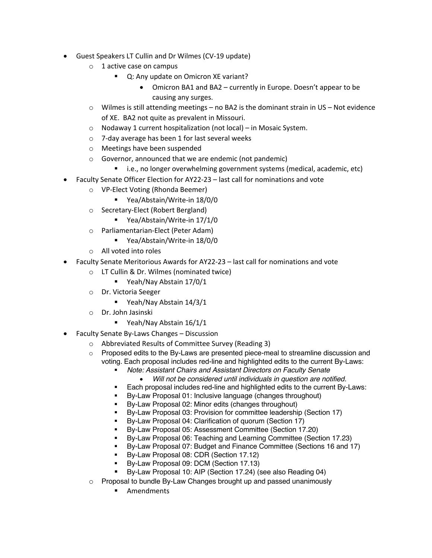- Guest Speakers LT Cullin and Dr Wilmes (CV-19 update)
	- o 1 active case on campus
		- Q: Any update on Omicron XE variant?
			- Omicron BA1 and BA2 currently in Europe. Doesn't appear to be causing any surges.
	- $\circ$  Wilmes is still attending meetings no BA2 is the dominant strain in US Not evidence of XE. BA2 not quite as prevalent in Missouri.
	- o Nodaway 1 current hospitalization (not local) in Mosaic System.
	- o 7-day average has been 1 for last several weeks
	- o Meetings have been suspended
	- o Governor, announced that we are endemic (not pandemic)
		- i.e., no longer overwhelming government systems (medical, academic, etc)
- Faculty Senate Officer Election for AY22-23 last call for nominations and vote
	- o VP-Elect Voting (Rhonda Beemer)
		- § Yea/Abstain/Write-in 18/0/0
	- o Secretary-Elect (Robert Bergland)
		- Yea/Abstain/Write-in 17/1/0
	- o Parliamentarian-Elect (Peter Adam)
		- § Yea/Abstain/Write-in 18/0/0
	- o All voted into roles
- Faculty Senate Meritorious Awards for AY22-23 last call for nominations and vote
	- o LT Cullin & Dr. Wilmes (nominated twice)
		- § Yeah/Nay Abstain 17/0/1
	- o Dr. Victoria Seeger
		- § Yeah/Nay Abstain 14/3/1
	- o Dr. John Jasinski
		- Yeah/Nay Abstain 16/1/1
- Faculty Senate By-Laws Changes Discussion
	- o Abbreviated Results of Committee Survey (Reading 3)
	- $\circ$  Proposed edits to the By-Laws are presented piece-meal to streamline discussion and voting. Each proposal includes red-line and highlighted edits to the current By-Laws:
		- § *Note: Assistant Chairs and Assistant Directors on Faculty Senate*
			- *Will not be considered until individuals in question are notified.*
		- Each proposal includes red-line and highlighted edits to the current By-Laws:
		- By-Law Proposal 01: Inclusive language (changes throughout)
		- By-Law Proposal 02: Minor edits (changes throughout)
		- By-Law Proposal 03: Provision for committee leadership (Section 17)
		- By-Law Proposal 04: Clarification of quorum (Section 17)
		- § By-Law Proposal 05: Assessment Committee (Section 17.20)
		- § By-Law Proposal 06: Teaching and Learning Committee (Section 17.23)
		- § By-Law Proposal 07: Budget and Finance Committee (Sections 16 and 17)
		- By-Law Proposal 08: CDR (Section 17.12)
		- § By-Law Proposal 09: DCM (Section 17.13)
		- § By-Law Proposal 10: AIP (Section 17.24) (see also Reading 04)
	- o Proposal to bundle By-Law Changes brought up and passed unanimously
		- Amendments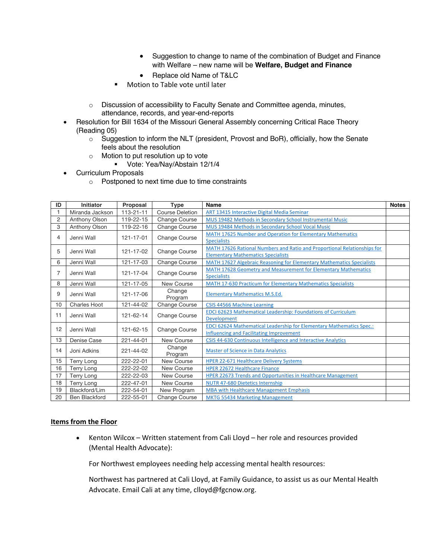- Suggestion to change to name of the combination of Budget and Finance with Welfare – new name will be **Welfare, Budget and Finance**
- Replace old Name of T&LC
- Motion to Table vote until later
- o Discussion of accessibility to Faculty Senate and Committee agenda, minutes, attendance, records, and year-end-reports
- Resolution for Bill 1634 of the Missouri General Assembly concerning Critical Race Theory (Reading 05)
	- o Suggestion to inform the NLT (president, Provost and BoR), officially, how the Senate feels about the resolution
	- o Motion to put resolution up to vote
		- § Vote: Yea/Nay/Abstain 12/1/4
- Curriculum Proposals
	- o Postponed to next time due to time constraints

| ID | <b>Initiator</b>     | Proposal        | <b>Type</b>            | Name                                                                                                                           | <b>Notes</b> |
|----|----------------------|-----------------|------------------------|--------------------------------------------------------------------------------------------------------------------------------|--------------|
|    | Miranda Jackson      | $113 - 21 - 11$ | <b>Course Deletion</b> | <b>ART 13415 Interactive Digital Media Seminar</b>                                                                             |              |
| 2  | <b>Anthony Olson</b> | 119-22-15       | <b>Change Course</b>   | MUS 19482 Methods in Secondary School Instrumental Music                                                                       |              |
| 3  | <b>Anthony Olson</b> | 119-22-16       | <b>Change Course</b>   | MUS 19484 Methods in Secondary School Vocal Music                                                                              |              |
| 4  | Jenni Wall           | 121-17-01       | Change Course          | MATH 17625 Number and Operation for Elementary Mathematics<br><b>Specialists</b>                                               |              |
| 5  | Jenni Wall           | 121-17-02       | Change Course          | MATH 17626 Rational Numbers and Ratio and Proportional Relationships for<br><b>Elementary Mathematics Specialists</b>          |              |
| 6  | Jenni Wall           | 121-17-03       | Change Course          | MATH 17627 Algebraic Reasoning for Elementary Mathematics Specialists                                                          |              |
| 7  | Jenni Wall           | 121-17-04       | Change Course          | MATH 17628 Geometry and Measurement for Elementary Mathematics<br><b>Specialists</b>                                           |              |
| 8  | Jenni Wall           | 121-17-05       | New Course             | MATH 17-630 Practicum for Elementary Mathematics Specialists                                                                   |              |
| 9  | Jenni Wall           | 121-17-06       | Change<br>Program      | <b>Elementary Mathematics M.S.Ed.</b>                                                                                          |              |
| 10 | <b>Charles Hoot</b>  | 121-44-02       | Change Course          | CSIS 44566 Machine Learning                                                                                                    |              |
| 11 | Jenni Wall           | 121-62-14       | <b>Change Course</b>   | <b>EDCI 62623 Mathematical Leadership: Foundations of Curriculum</b><br>Development                                            |              |
| 12 | Jenni Wall           | 121-62-15       | <b>Change Course</b>   | <b>EDCI 62624 Mathematical Leadership for Elementary Mathematics Spec.:</b><br><b>Influencing and Facilitating Improvement</b> |              |
| 13 | Denise Case          | 221-44-01       | New Course             | CSIS 44-630 Continuous Intelligence and Interactive Analytics                                                                  |              |
| 14 | Joni Adkins          | 221-44-02       | Change<br>Program      | <b>Master of Science in Data Analytics</b>                                                                                     |              |
| 15 | <b>Terry Long</b>    | 222-22-01       | New Course             | <b>HPER 22-671 Healthcare Delivery Systems</b>                                                                                 |              |
| 16 | <b>Terry Long</b>    | 222-22-02       | New Course             | <b>HPER 22672 Healthcare Finance</b>                                                                                           |              |
| 17 | <b>Terry Long</b>    | 222-22-03       | New Course             | <b>HPER 22673 Trends and Opportunities in Healthcare Management</b>                                                            |              |
| 18 | <b>Terry Long</b>    | 222-47-01       | New Course             | <b>NUTR 47-680 Dietetics Internship</b>                                                                                        |              |
| 19 | Blackford/Lim        | 222-54-01       | New Program            | <b>MBA with Healthcare Management Emphasis</b>                                                                                 |              |
| 20 | <b>Ben Blackford</b> | 222-55-01       | <b>Change Course</b>   | <b>MKTG 55434 Marketing Management</b>                                                                                         |              |

#### **Items from the Floor**

• Kenton Wilcox – Written statement from Cali Lloyd – her role and resources provided (Mental Health Advocate):

For Northwest employees needing help accessing mental health resources:

Northwest has partnered at Cali Lloyd, at Family Guidance, to assist us as our Mental Health Advocate. Email Cali at any time, clloyd@fgcnow.org.